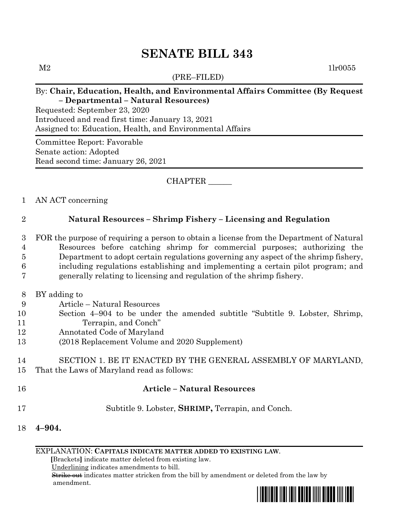# **SENATE BILL 343**

(PRE–FILED)

 $M2$  1lr0055

#### By: **Chair, Education, Health, and Environmental Affairs Committee (By Request – Departmental – Natural Resources)**

Requested: September 23, 2020 Introduced and read first time: January 13, 2021 Assigned to: Education, Health, and Environmental Affairs

Committee Report: Favorable Senate action: Adopted Read second time: January 26, 2021

# CHAPTER \_\_\_\_\_\_

#### 1 AN ACT concerning

# 2 **Natural Resources – Shrimp Fishery – Licensing and Regulation**

3 FOR the purpose of requiring a person to obtain a license from the Department of Natural 4 Resources before catching shrimp for commercial purposes; authorizing the

5 Department to adopt certain regulations governing any aspect of the shrimp fishery,

- 6 including regulations establishing and implementing a certain pilot program; and
- 7 generally relating to licensing and regulation of the shrimp fishery.
- 8 BY adding to
- 9 Article Natural Resources
- 10 Section 4–904 to be under the amended subtitle "Subtitle 9. Lobster, Shrimp, 11 Terrapin, and Conch"
- 12 Annotated Code of Maryland
- 13 (2018 Replacement Volume and 2020 Supplement)

# 14 SECTION 1. BE IT ENACTED BY THE GENERAL ASSEMBLY OF MARYLAND, 15 That the Laws of Maryland read as follows:

- 16 **Article – Natural Resources**
- 17 Subtitle 9. Lobster, **SHRIMP,** Terrapin, and Conch.
- 18 **4–904.**

EXPLANATION: **CAPITALS INDICATE MATTER ADDED TO EXISTING LAW**.

 **[**Brackets**]** indicate matter deleted from existing law.

Underlining indicates amendments to bill.

 Strike out indicates matter stricken from the bill by amendment or deleted from the law by amendment.